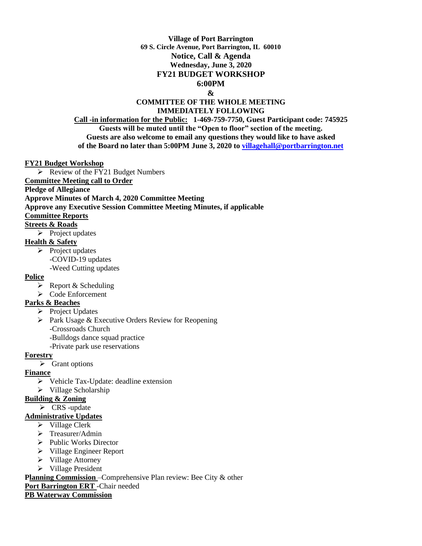# **Village of Port Barrington 69 S. Circle Avenue, Port Barrington, IL 60010 Notice, Call & Agenda Wednesday, June 3, 2020 FY21 BUDGET WORKSHOP 6:00PM**

#### **&**

#### **COMMITTEE OF THE WHOLE MEETING IMMEDIATELY FOLLOWING**

**Call -in information for the Public: 1-469-759-7750, Guest Participant code: 745925 Guests will be muted until the "Open to floor" section of the meeting. Guests are also welcome to email any questions they would like to have asked of the Board no later than 5:00PM June 3, 2020 to [villagehall@portbarrington.net](mailto:villagehall@portbarrington.net)**

#### **FY21 Budget Workshop**

➢ Review of the FY21 Budget Numbers

**Committee Meeting call to Order** 

### **Pledge of Allegiance**

**Approve Minutes of March 4, 2020 Committee Meeting**

### **Approve any Executive Session Committee Meeting Minutes, if applicable**

### **Committee Reports**

- **Streets & Roads**
	- ➢ Project updates

### **Health & Safety**

➢ Project updates -COVID-19 updates -Weed Cutting updates

# **Police**

- $\triangleright$  Report & Scheduling
- ➢ Code Enforcement

### **Parks & Beaches**

- ➢ Project Updates
- ➢ Park Usage & Executive Orders Review for Reopening
	- -Crossroads Church
	- -Bulldogs dance squad practice
	- -Private park use reservations

### **Forestry**

➢ Grant options

# **Finance**

- ➢ Vehicle Tax-Update: deadline extension
- ➢ Village Scholarship

# **Building & Zoning**

➢ CRS -update

# **Administrative Updates**

- ➢ Village Clerk
- ➢ Treasurer/Admin
- ➢ Public Works Director
- ➢ Village Engineer Report
- ➢ Village Attorney
- ➢ Village President

**Planning Commission** – Comprehensive Plan review: Bee City & other

# **Port Barrington ERT** -Chair needed

# **PB Waterway Commission**